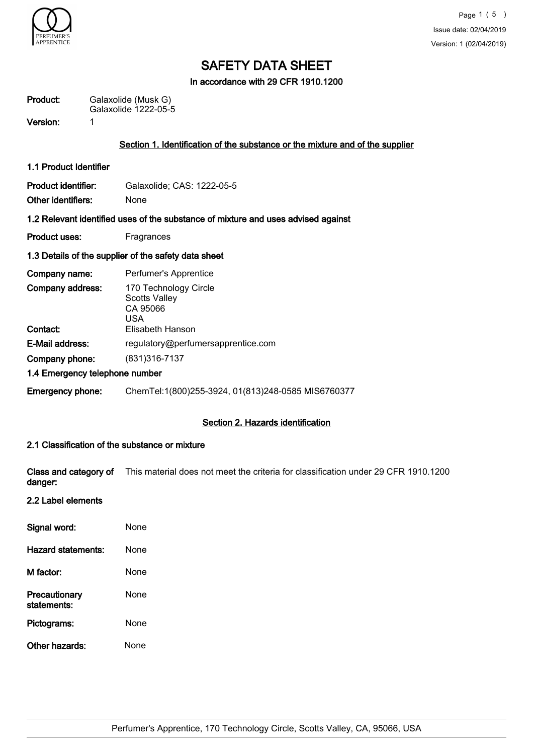

In accordance with 29 CFR 1910.1200

| Product: | Galaxolide (Musk G)  |
|----------|----------------------|
|          | Galaxolide 1222-05-5 |

Version: 1

### Section 1. Identification of the substance or the mixture and of the supplier

1.1 Product Identifier

| Product identifier: | Galaxolide; CAS: 1222-05-5 |
|---------------------|----------------------------|
| Other identifiers:  | <b>None</b>                |

#### 1.2 Relevant identified uses of the substance of mixture and uses advised against

Product uses: Fragrances

#### 1.3 Details of the supplier of the safety data sheet

| Company name:                  | Perfumer's Apprentice                                            |
|--------------------------------|------------------------------------------------------------------|
| Company address:               | 170 Technology Circle<br><b>Scotts Valley</b><br>CA 95066<br>USA |
| Contact:                       | Elisabeth Hanson                                                 |
| E-Mail address:                | regulatory@perfumersapprentice.com                               |
| Company phone:                 | (831) 316-7137                                                   |
| 1.4 Emergency telephone number |                                                                  |
| <b>Emergency phone:</b>        | ChemTel:1(800)255-3924, 01(813)248-0585 MIS6760377               |

### Section 2. Hazards identification

## 2.1 Classification of the substance or mixture

Class and category of This material does not meet the criteria for classification under 29 CFR 1910.1200 danger:

## 2.2 Label elements

| Signal word:                 | None |
|------------------------------|------|
| Hazard statements:           | None |
| M factor:                    | None |
| Precautionary<br>statements: | None |
| Pictograms:                  | None |
| Other hazards:               | None |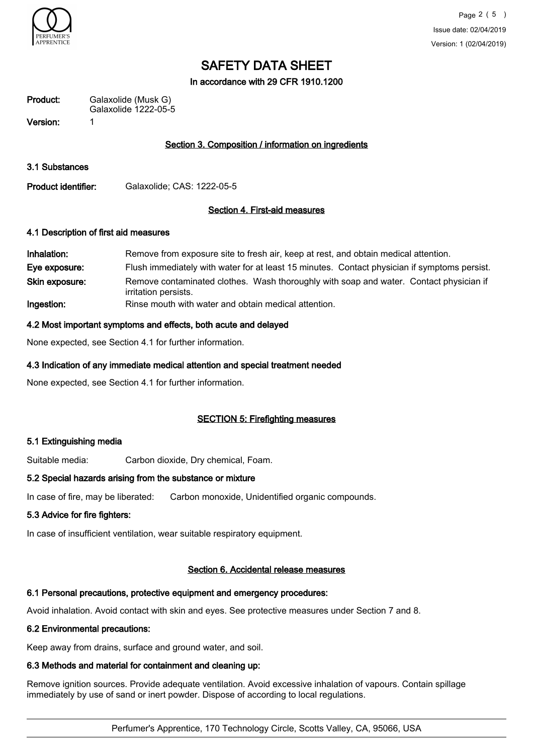

In accordance with 29 CFR 1910.1200

| Product:   | Galaxolide (Musk G)<br>Galaxolide 1222-05-5 |
|------------|---------------------------------------------|
| . <i>.</i> |                                             |

Version: 1

## Section 3. Composition / information on ingredients

3.1 Substances

Product identifier: Galaxolide; CAS: 1222-05-5

## Section 4. First-aid measures

#### 4.1 Description of first aid measures

| Inhalation:    | Remove from exposure site to fresh air, keep at rest, and obtain medical attention.                            |
|----------------|----------------------------------------------------------------------------------------------------------------|
| Eye exposure:  | Flush immediately with water for at least 15 minutes. Contact physician if symptoms persist.                   |
| Skin exposure: | Remove contaminated clothes. Wash thoroughly with soap and water. Contact physician if<br>irritation persists. |
| Ingestion:     | Rinse mouth with water and obtain medical attention.                                                           |

#### 4.2 Most important symptoms and effects, both acute and delayed

None expected, see Section 4.1 for further information.

## 4.3 Indication of any immediate medical attention and special treatment needed

None expected, see Section 4.1 for further information.

#### SECTION 5: Firefighting measures

#### 5.1 Extinguishing media

Suitable media: Carbon dioxide, Dry chemical, Foam.

#### 5.2 Special hazards arising from the substance or mixture

In case of fire, may be liberated: Carbon monoxide, Unidentified organic compounds.

#### 5.3 Advice for fire fighters:

In case of insufficient ventilation, wear suitable respiratory equipment.

## Section 6. Accidental release measures

## 6.1 Personal precautions, protective equipment and emergency procedures:

Avoid inhalation. Avoid contact with skin and eyes. See protective measures under Section 7 and 8.

## 6.2 Environmental precautions:

Keep away from drains, surface and ground water, and soil.

## 6.3 Methods and material for containment and cleaning up:

Remove ignition sources. Provide adequate ventilation. Avoid excessive inhalation of vapours. Contain spillage immediately by use of sand or inert powder. Dispose of according to local regulations.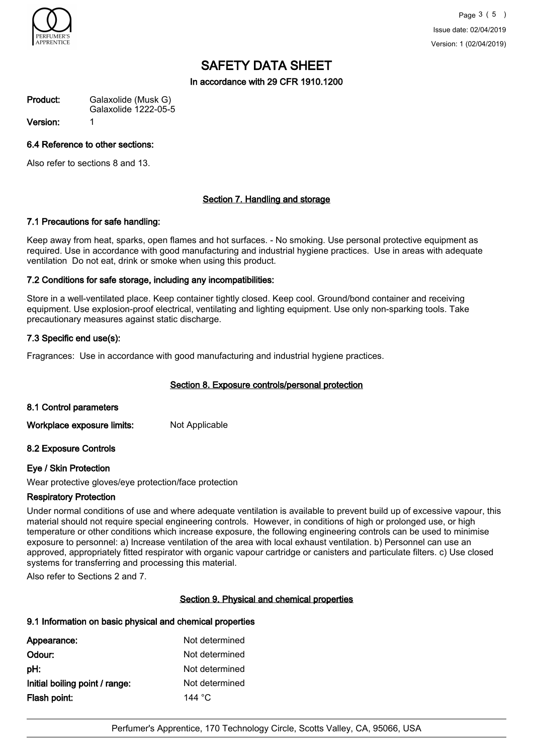

In accordance with 29 CFR 1910.1200

Galaxolide (Musk G) Galaxolide 1222-05-5 Product:

Version: 1

## 6.4 Reference to other sections:

Also refer to sections 8 and 13.

## Section 7. Handling and storage

#### 7.1 Precautions for safe handling:

Keep away from heat, sparks, open flames and hot surfaces. - No smoking. Use personal protective equipment as required. Use in accordance with good manufacturing and industrial hygiene practices. Use in areas with adequate ventilation Do not eat, drink or smoke when using this product.

## 7.2 Conditions for safe storage, including any incompatibilities:

Store in a well-ventilated place. Keep container tightly closed. Keep cool. Ground/bond container and receiving equipment. Use explosion-proof electrical, ventilating and lighting equipment. Use only non-sparking tools. Take precautionary measures against static discharge.

## 7.3 Specific end use(s):

Fragrances: Use in accordance with good manufacturing and industrial hygiene practices.

## Section 8. Exposure controls/personal protection

#### 8.1 Control parameters

Workplace exposure limits: Not Applicable

#### 8.2 Exposure Controls

#### Eye / Skin Protection

Wear protective gloves/eye protection/face protection

## Respiratory Protection

Under normal conditions of use and where adequate ventilation is available to prevent build up of excessive vapour, this material should not require special engineering controls. However, in conditions of high or prolonged use, or high temperature or other conditions which increase exposure, the following engineering controls can be used to minimise exposure to personnel: a) Increase ventilation of the area with local exhaust ventilation. b) Personnel can use an approved, appropriately fitted respirator with organic vapour cartridge or canisters and particulate filters. c) Use closed systems for transferring and processing this material.

Also refer to Sections 2 and 7.

#### Section 9. Physical and chemical properties

## 9.1 Information on basic physical and chemical properties

| Appearance:                    | Not determined   |
|--------------------------------|------------------|
| Odour:                         | Not determined   |
| pH:                            | Not determined   |
| Initial boiling point / range: | Not determined   |
| Flash point:                   | 144 $^{\circ}$ C |
|                                |                  |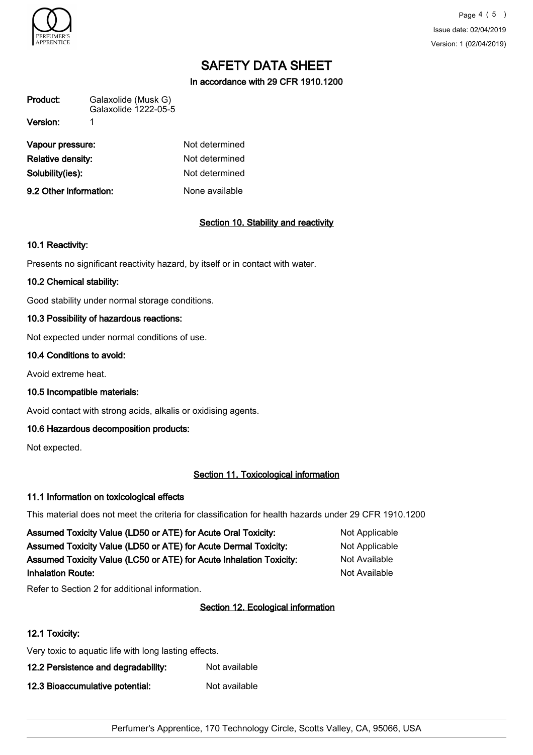

Page 4 ( 5 ) Issue date: 02/04/2019 Version: 1 (02/04/2019)

# SAFETY DATA SHEET

In accordance with 29 CFR 1910.1200

| Product:          | Galaxolide (Musk G)<br>Galaxolide 1222-05-5 |                |
|-------------------|---------------------------------------------|----------------|
| Version:          |                                             |                |
| Vapour pressure:  |                                             | Not determined |
| Relative densitv: |                                             | Not determined |

| 9.2 Other information: | None available        |
|------------------------|-----------------------|
| Solubility(ies):       | Not determined        |
| Relative density:      | Not determined        |
| vapour pressure:       | <u>Not determined</u> |

## Section 10. Stability and reactivity

## 10.1 Reactivity:

Presents no significant reactivity hazard, by itself or in contact with water.

#### 10.2 Chemical stability:

Good stability under normal storage conditions.

## 10.3 Possibility of hazardous reactions:

Not expected under normal conditions of use.

#### 10.4 Conditions to avoid:

Avoid extreme heat.

10.5 Incompatible materials:

Avoid contact with strong acids, alkalis or oxidising agents.

## 10.6 Hazardous decomposition products:

Not expected.

#### Section 11. Toxicological information

#### 11.1 Information on toxicological effects

This material does not meet the criteria for classification for health hazards under 29 CFR 1910.1200

| Assumed Toxicity Value (LD50 or ATE) for Acute Oral Toxicity:       | Not Applicable |
|---------------------------------------------------------------------|----------------|
| Assumed Toxicity Value (LD50 or ATE) for Acute Dermal Toxicity:     | Not Applicable |
| Assumed Toxicity Value (LC50 or ATE) for Acute Inhalation Toxicity: | Not Available  |
| <b>Inhalation Route:</b>                                            | Not Available  |

Refer to Section 2 for additional information.

## Section 12. Ecological information

## 12.1 Toxicity:

Very toxic to aquatic life with long lasting effects.

12.2 Persistence and degradability: Not available

12.3 Bioaccumulative potential: Not available